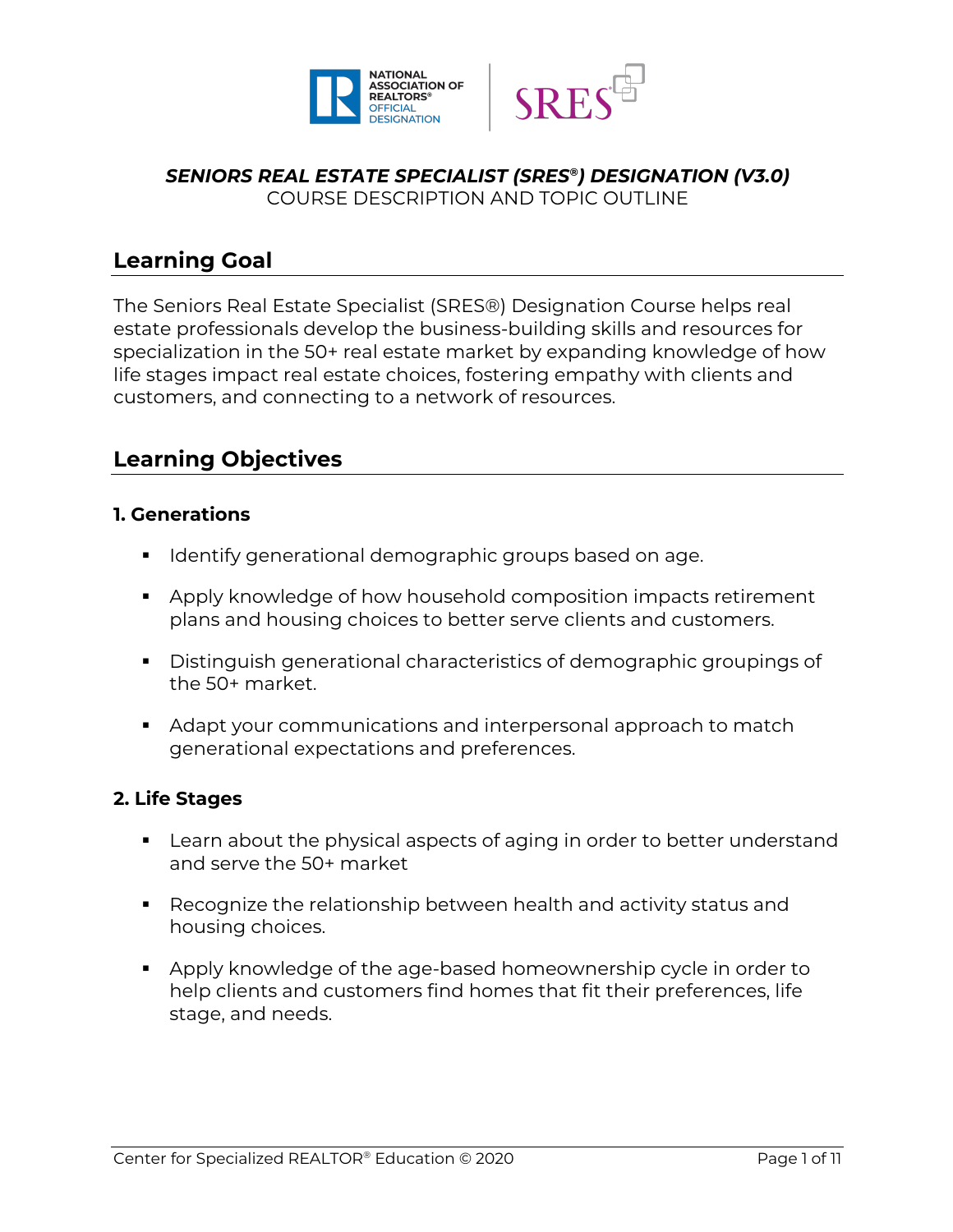



#### *SENIORS REAL ESTATE SPECIALIST (SRES®) DESIGNATION (V3.0)* COURSE DESCRIPTION AND TOPIC OUTLINE

**Learning Goal**

The Seniors Real Estate Specialist (SRES®) Designation Course helps real estate professionals develop the business-building skills and resources for specialization in the 50+ real estate market by expanding knowledge of how life stages impact real estate choices, fostering empathy with clients and customers, and connecting to a network of resources.

# **Learning Objectives**

## **1. Generations**

- **•** Identify generational demographic groups based on age.
- Apply knowledge of how household composition impacts retirement plans and housing choices to better serve clients and customers.
- § Distinguish generational characteristics of demographic groupings of the 50+ market.
- Adapt your communications and interpersonal approach to match generational expectations and preferences.

## **2. Life Stages**

- Learn about the physical aspects of aging in order to better understand and serve the 50+ market
- Recognize the relationship between health and activity status and housing choices.
- Apply knowledge of the age-based homeownership cycle in order to help clients and customers find homes that fit their preferences, life stage, and needs.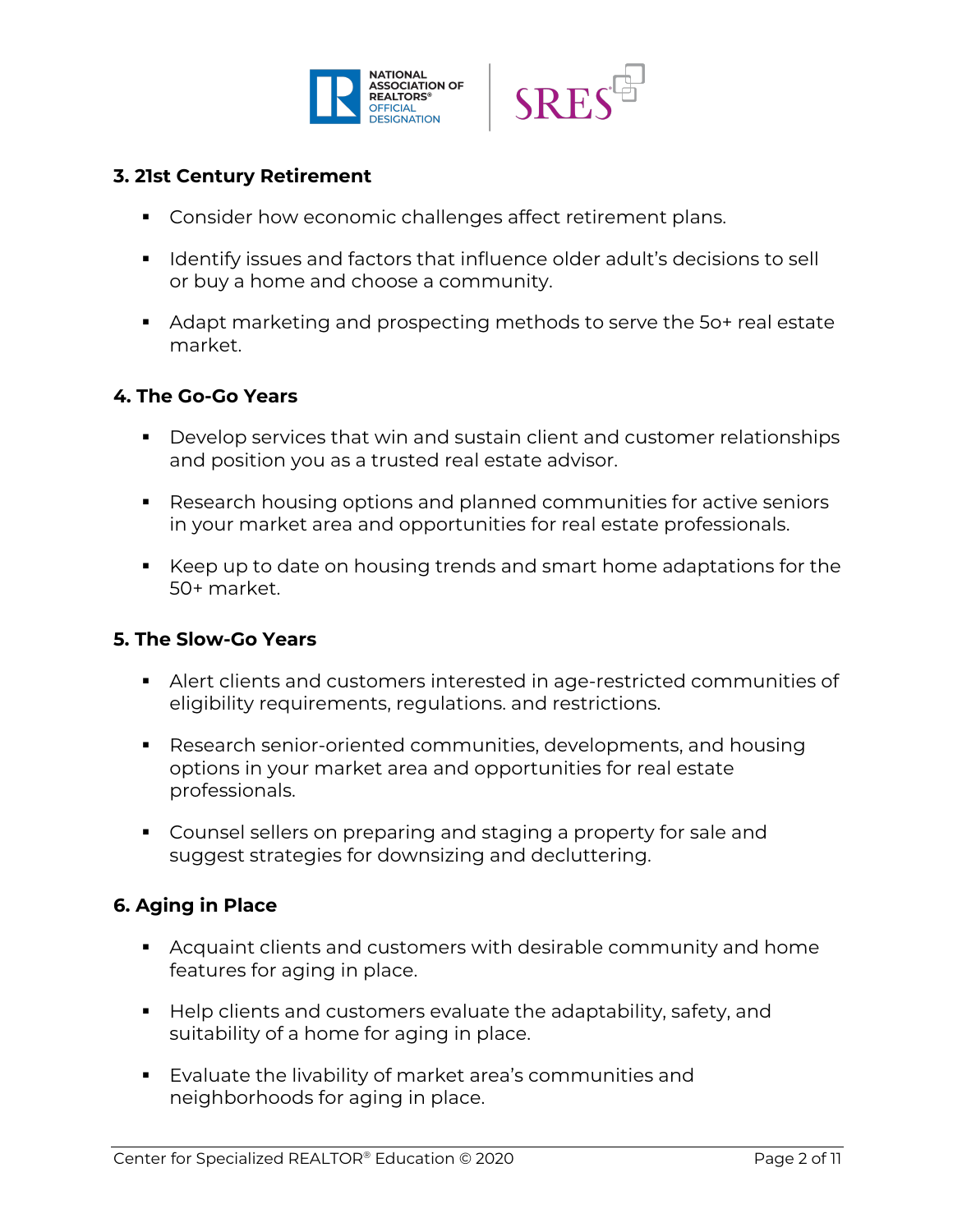



### **3. 21st Century Retirement**

- Consider how economic challenges affect retirement plans.
- Identify issues and factors that influence older adult's decisions to sell or buy a home and choose a community.
- Adapt marketing and prospecting methods to serve the 5o+ real estate market.

#### **4. The Go-Go Years**

- Develop services that win and sustain client and customer relationships and position you as a trusted real estate advisor.
- Research housing options and planned communities for active seniors in your market area and opportunities for real estate professionals.
- § Keep up to date on housing trends and smart home adaptations for the 50+ market.

#### **5. The Slow-Go Years**

- § Alert clients and customers interested in age-restricted communities of eligibility requirements, regulations. and restrictions.
- Research senior-oriented communities, developments, and housing options in your market area and opportunities for real estate professionals.
- Counsel sellers on preparing and staging a property for sale and suggest strategies for downsizing and decluttering.

#### **6. Aging in Place**

- **EXTER Acquaint clients and customers with desirable community and home** features for aging in place.
- Help clients and customers evaluate the adaptability, safety, and suitability of a home for aging in place.
- Evaluate the livability of market area's communities and neighborhoods for aging in place.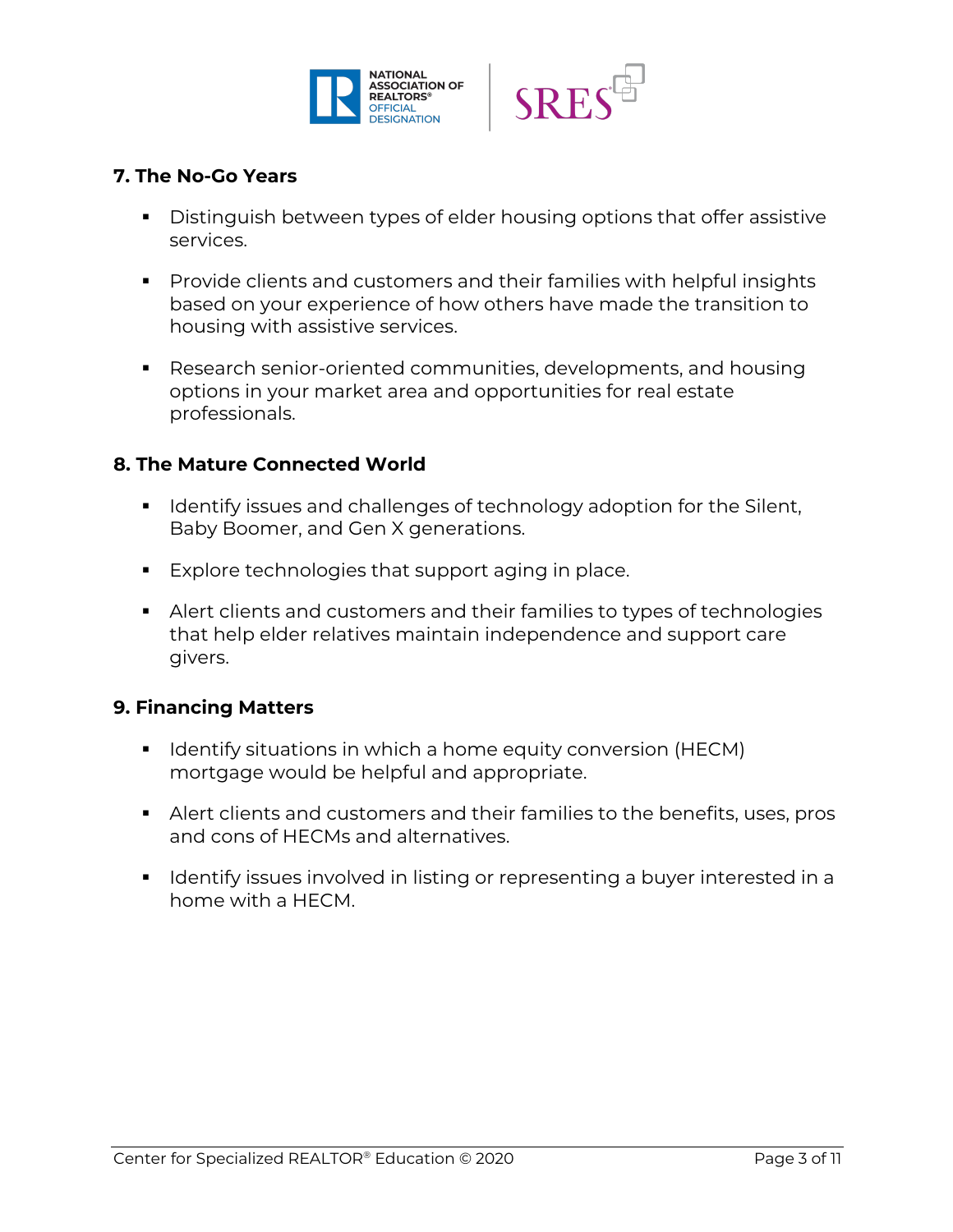



#### **7. The No-Go Years**

- Distinguish between types of elder housing options that offer assistive services.
- Provide clients and customers and their families with helpful insights based on your experience of how others have made the transition to housing with assistive services.
- Research senior-oriented communities, developments, and housing options in your market area and opportunities for real estate professionals.

#### **8. The Mature Connected World**

- Identify issues and challenges of technology adoption for the Silent, Baby Boomer, and Gen X generations.
- Explore technologies that support aging in place.
- § Alert clients and customers and their families to types of technologies that help elder relatives maintain independence and support care givers.

#### **9. Financing Matters**

- Identify situations in which a home equity conversion (HECM) mortgage would be helpful and appropriate.
- Alert clients and customers and their families to the benefits, uses, pros and cons of HECMs and alternatives.
- Identify issues involved in listing or representing a buyer interested in a home with a HECM.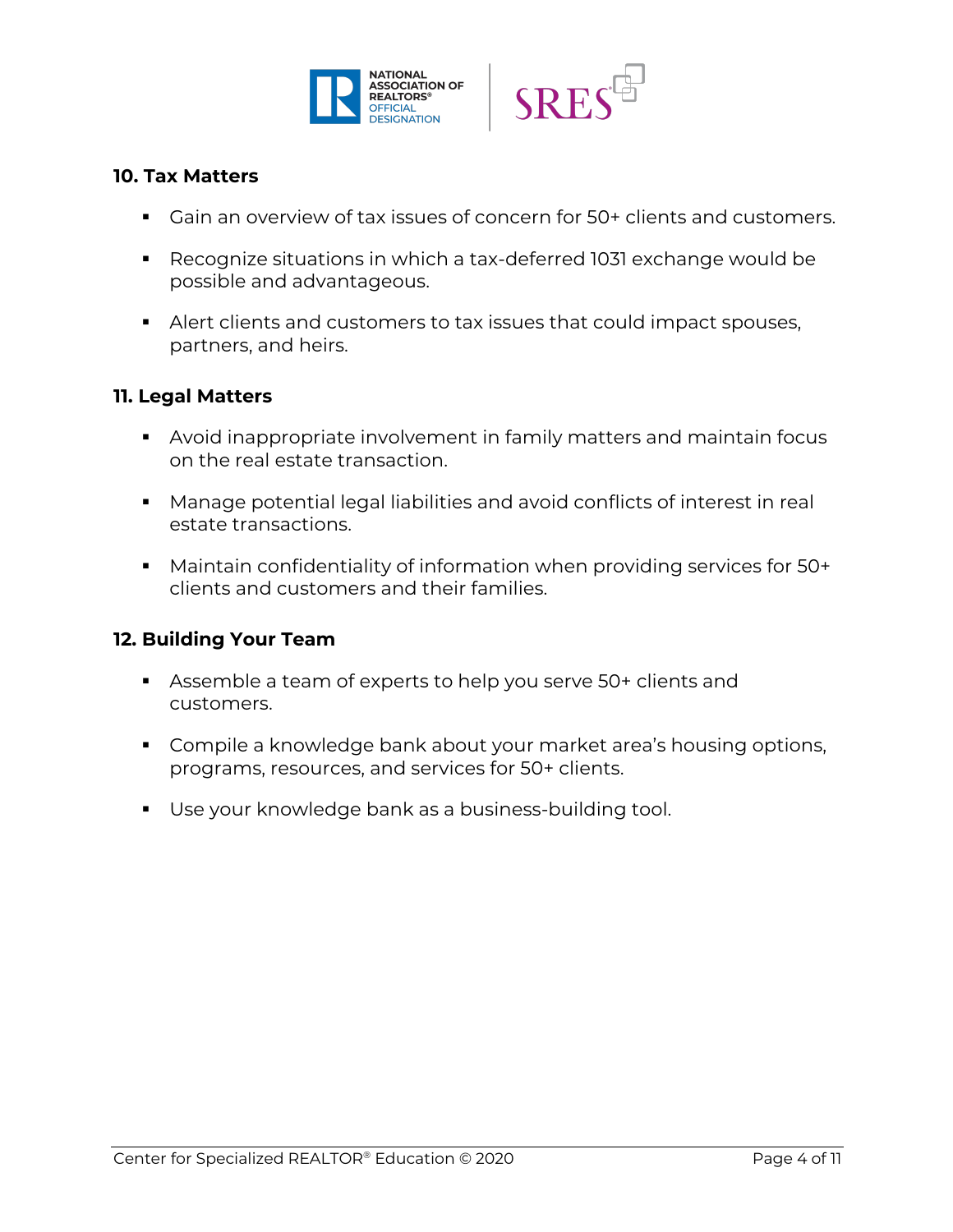



#### **10. Tax Matters**

- Gain an overview of tax issues of concern for 50+ clients and customers.
- Recognize situations in which a tax-deferred 1031 exchange would be possible and advantageous.
- Alert clients and customers to tax issues that could impact spouses, partners, and heirs.

#### **11. Legal Matters**

- Avoid inappropriate involvement in family matters and maintain focus on the real estate transaction.
- Manage potential legal liabilities and avoid conflicts of interest in real estate transactions.
- Maintain confidentiality of information when providing services for 50+ clients and customers and their families.

#### **12. Building Your Team**

- § Assemble a team of experts to help you serve 50+ clients and customers.
- Compile a knowledge bank about your market area's housing options, programs, resources, and services for 50+ clients.
- Use your knowledge bank as a business-building tool.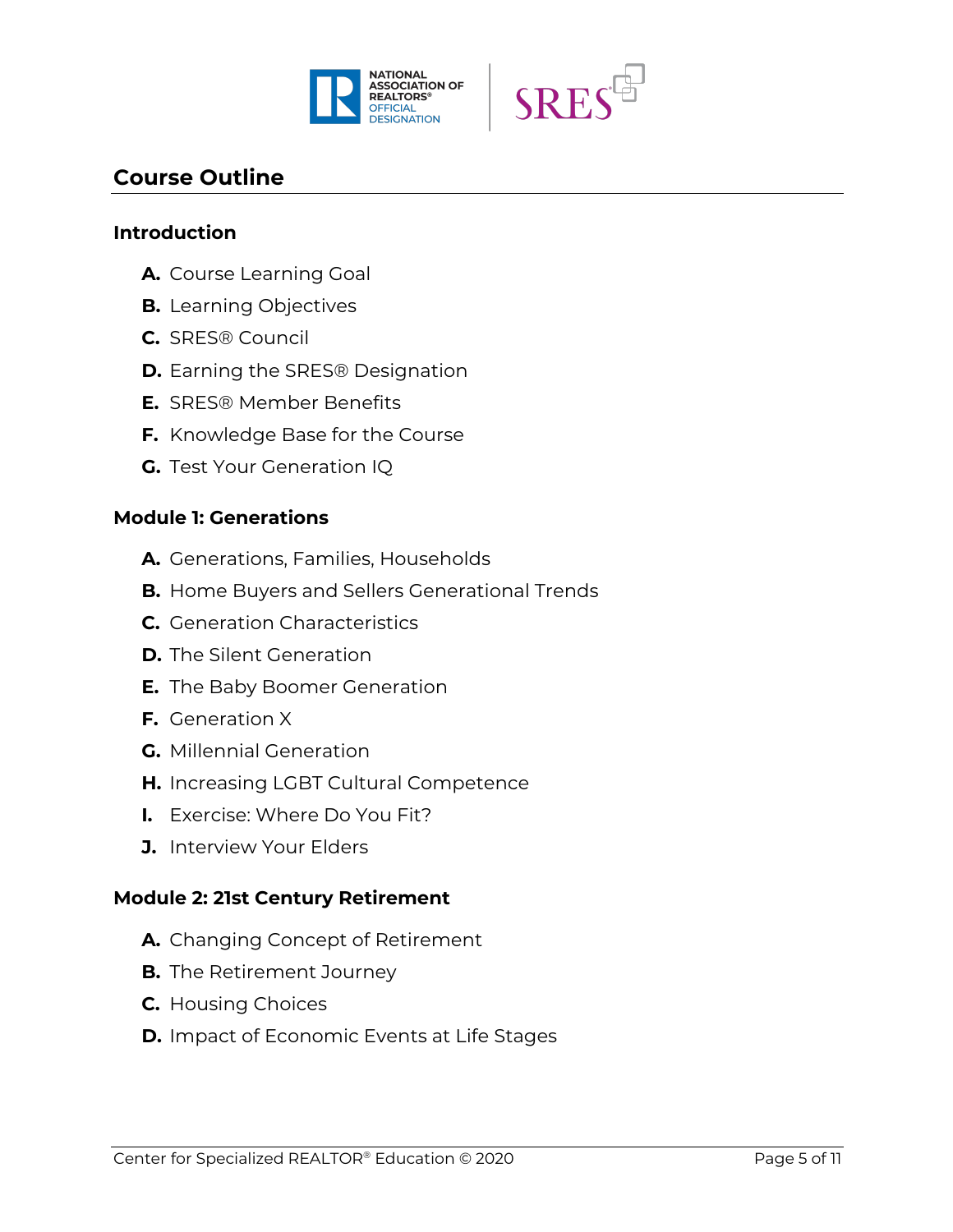



## **Course Outline**

#### **Introduction**

- **A.** Course Learning Goal
- **B.** Learning Objectives
- **C.** SRES® Council
- **D.** Earning the SRES® Designation
- **E.** SRES® Member Benefits
- **F.** Knowledge Base for the Course
- **G.** Test Your Generation IQ

#### **Module 1: Generations**

- **A.** Generations, Families, Households
- **B.** Home Buyers and Sellers Generational Trends
- **C.** Generation Characteristics
- **D.** The Silent Generation
- **E.** The Baby Boomer Generation
- **F.** Generation X
- **G.** Millennial Generation
- **H.** Increasing LGBT Cultural Competence
- **I.** Exercise: Where Do You Fit?
- **J.** Interview Your Elders

#### **Module 2: 21st Century Retirement**

- **A.** Changing Concept of Retirement
- **B.** The Retirement Journey
- **C.** Housing Choices
- **D.** Impact of Economic Events at Life Stages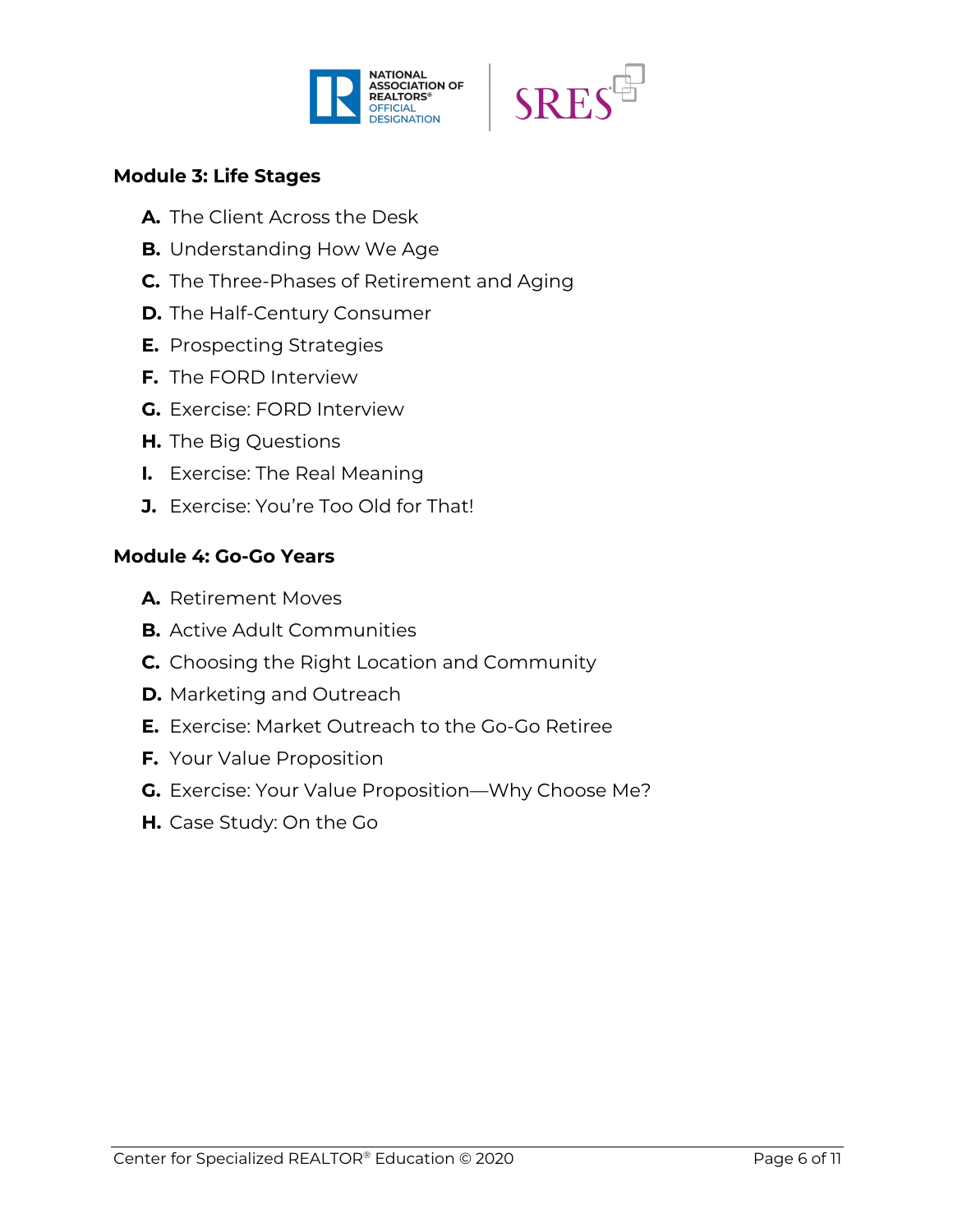



#### **Module 3: Life Stages**

- **A.** The Client Across the Desk
- **B.** Understanding How We Age
- **C.** The Three-Phases of Retirement and Aging
- **D.** The Half-Century Consumer
- **E.** Prospecting Strategies
- **F.** The FORD Interview
- **G.** Exercise: FORD Interview
- **H.** The Big Questions
- **I.** Exercise: The Real Meaning
- **J.** Exercise: You're Too Old for That!

#### **Module 4: Go-Go Years**

- **A.** Retirement Moves
- **B.** Active Adult Communities
- **C.** Choosing the Right Location and Community
- **D.** Marketing and Outreach
- **E.** Exercise: Market Outreach to the Go-Go Retiree
- **F.** Your Value Proposition
- **G.** Exercise: Your Value Proposition—Why Choose Me?
- **H.** Case Study: On the Go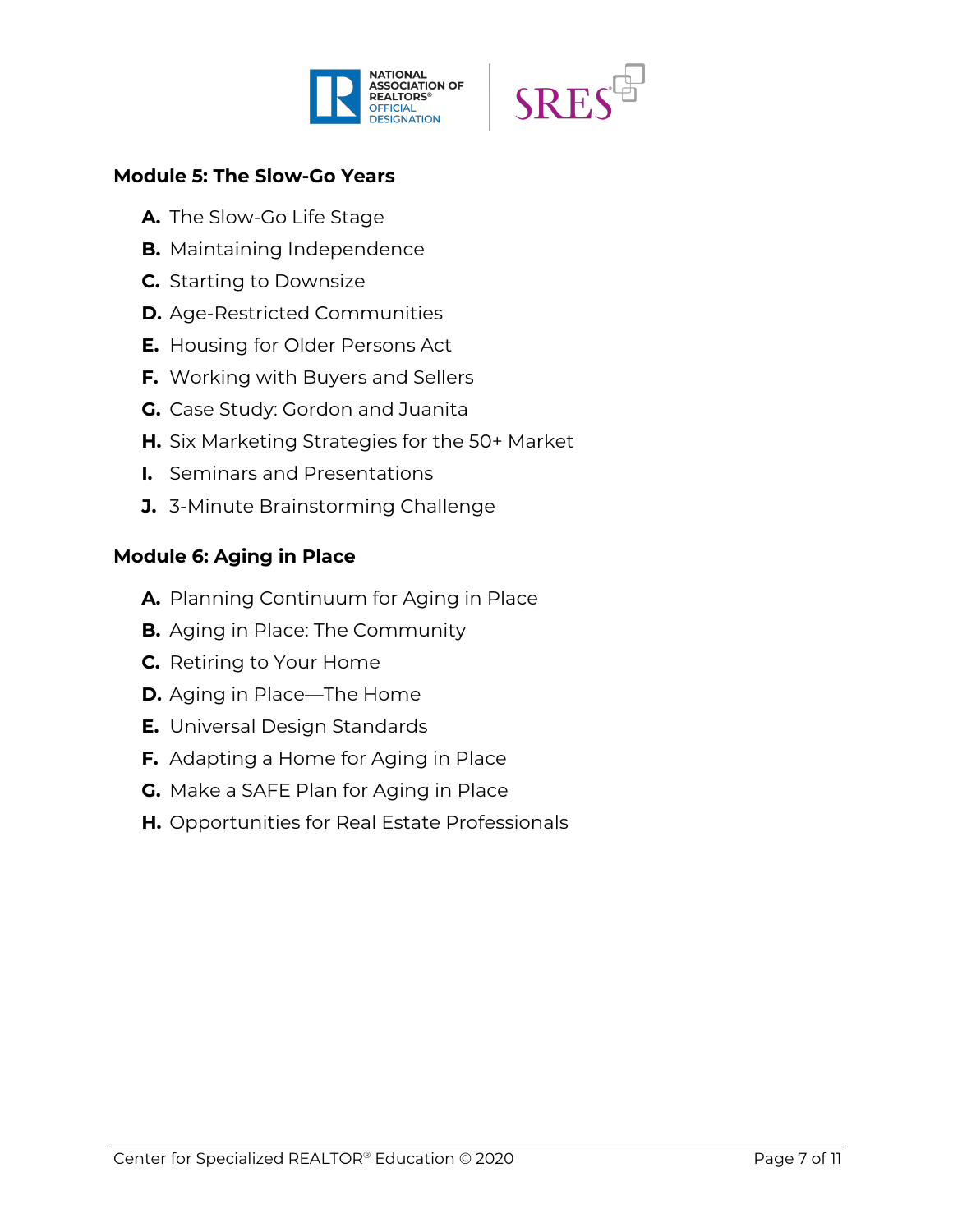



## **Module 5: The Slow-Go Years**

- **A.** The Slow-Go Life Stage
- **B.** Maintaining Independence
- **C.** Starting to Downsize
- **D.** Age-Restricted Communities
- **E.** Housing for Older Persons Act
- **F.** Working with Buyers and Sellers
- **G.** Case Study: Gordon and Juanita
- **H.** Six Marketing Strategies for the 50+ Market
- **I.** Seminars and Presentations
- **J.** 3-Minute Brainstorming Challenge

## **Module 6: Aging in Place**

- **A.** Planning Continuum for Aging in Place
- **B.** Aging in Place: The Community
- **C.** Retiring to Your Home
- **D.** Aging in Place—The Home
- **E.** Universal Design Standards
- **F.** Adapting a Home for Aging in Place
- **G.** Make a SAFE Plan for Aging in Place
- **H.** Opportunities for Real Estate Professionals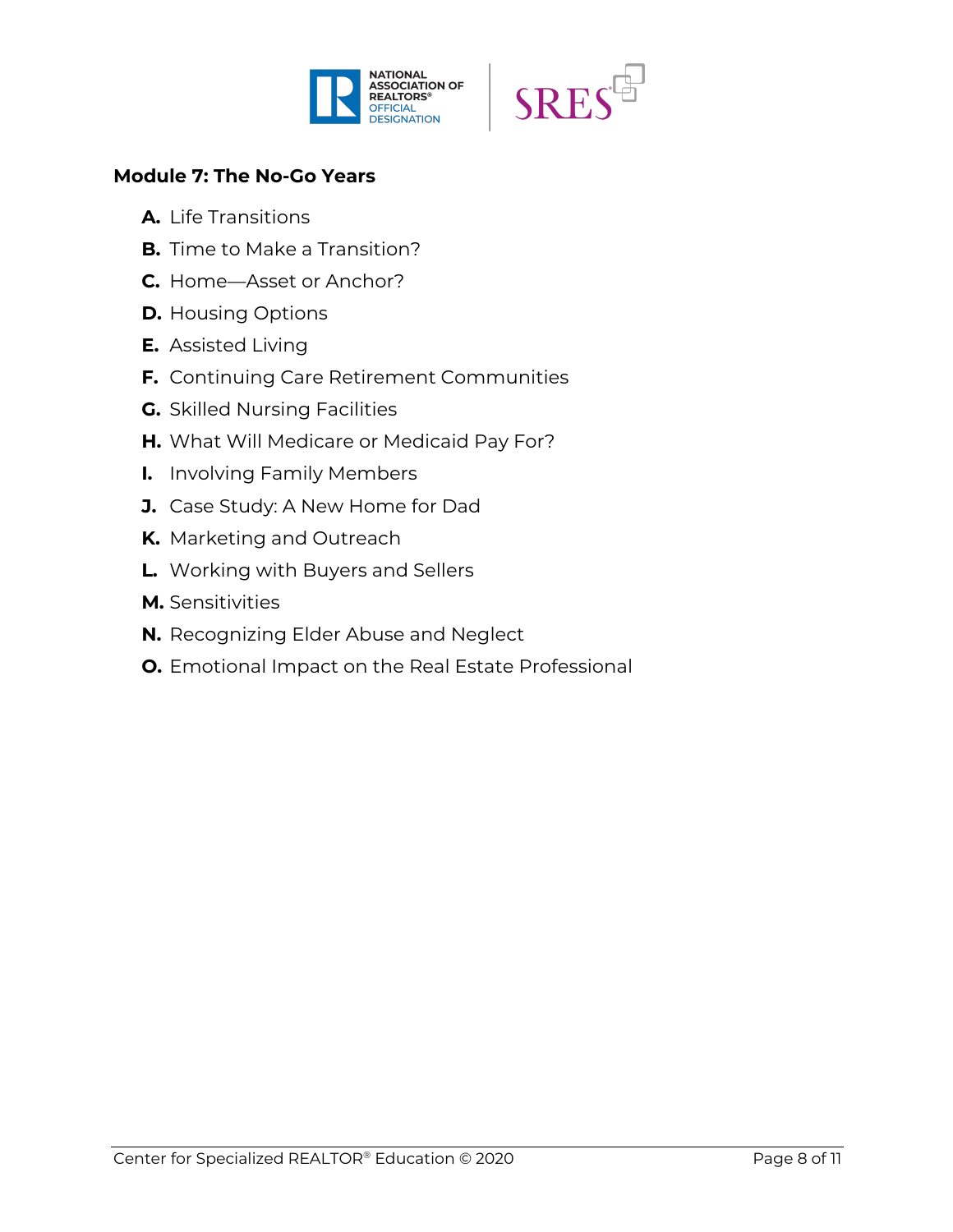



## **Module 7: The No-Go Years**

- **A.** Life Transitions
- **B.** Time to Make a Transition?
- **C.** Home—Asset or Anchor?
- **D.** Housing Options
- **E.** Assisted Living
- **F.** Continuing Care Retirement Communities
- **G.** Skilled Nursing Facilities
- **H.** What Will Medicare or Medicaid Pay For?
- **I.** Involving Family Members
- **J.** Case Study: A New Home for Dad
- **K.** Marketing and Outreach
- **L.** Working with Buyers and Sellers
- **M.** Sensitivities
- **N.** Recognizing Elder Abuse and Neglect
- **O.** Emotional Impact on the Real Estate Professional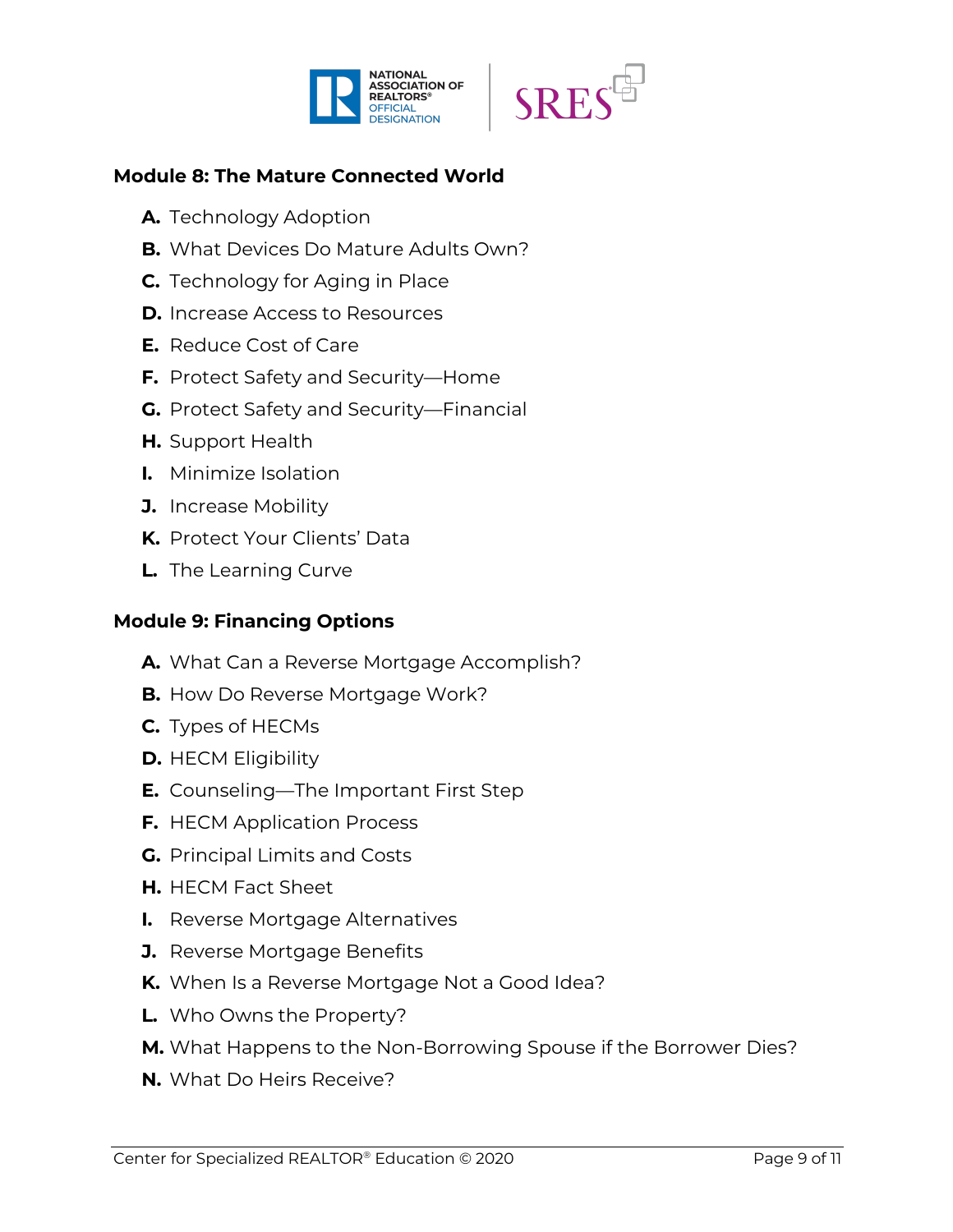



## **Module 8: The Mature Connected World**

- **A.** Technology Adoption
- **B.** What Devices Do Mature Adults Own?
- **C.** Technology for Aging in Place
- **D.** Increase Access to Resources
- **E.** Reduce Cost of Care
- **F.** Protect Safety and Security—Home
- **G.** Protect Safety and Security—Financial
- **H.** Support Health
- **I.** Minimize Isolation
- **J.** Increase Mobility
- **K.** Protect Your Clients' Data
- **L.** The Learning Curve

## **Module 9: Financing Options**

- **A.** What Can a Reverse Mortgage Accomplish?
- **B.** How Do Reverse Mortgage Work?
- **C.** Types of HECMs
- **D.** HECM Eligibility
- **E.** Counseling—The Important First Step
- **F.** HECM Application Process
- **G.** Principal Limits and Costs
- **H.** HECM Fact Sheet
- **I.** Reverse Mortgage Alternatives
- **J.** Reverse Mortgage Benefits
- **K.** When Is a Reverse Mortgage Not a Good Idea?
- **L.** Who Owns the Property?
- **M.** What Happens to the Non-Borrowing Spouse if the Borrower Dies?
- **N.** What Do Heirs Receive?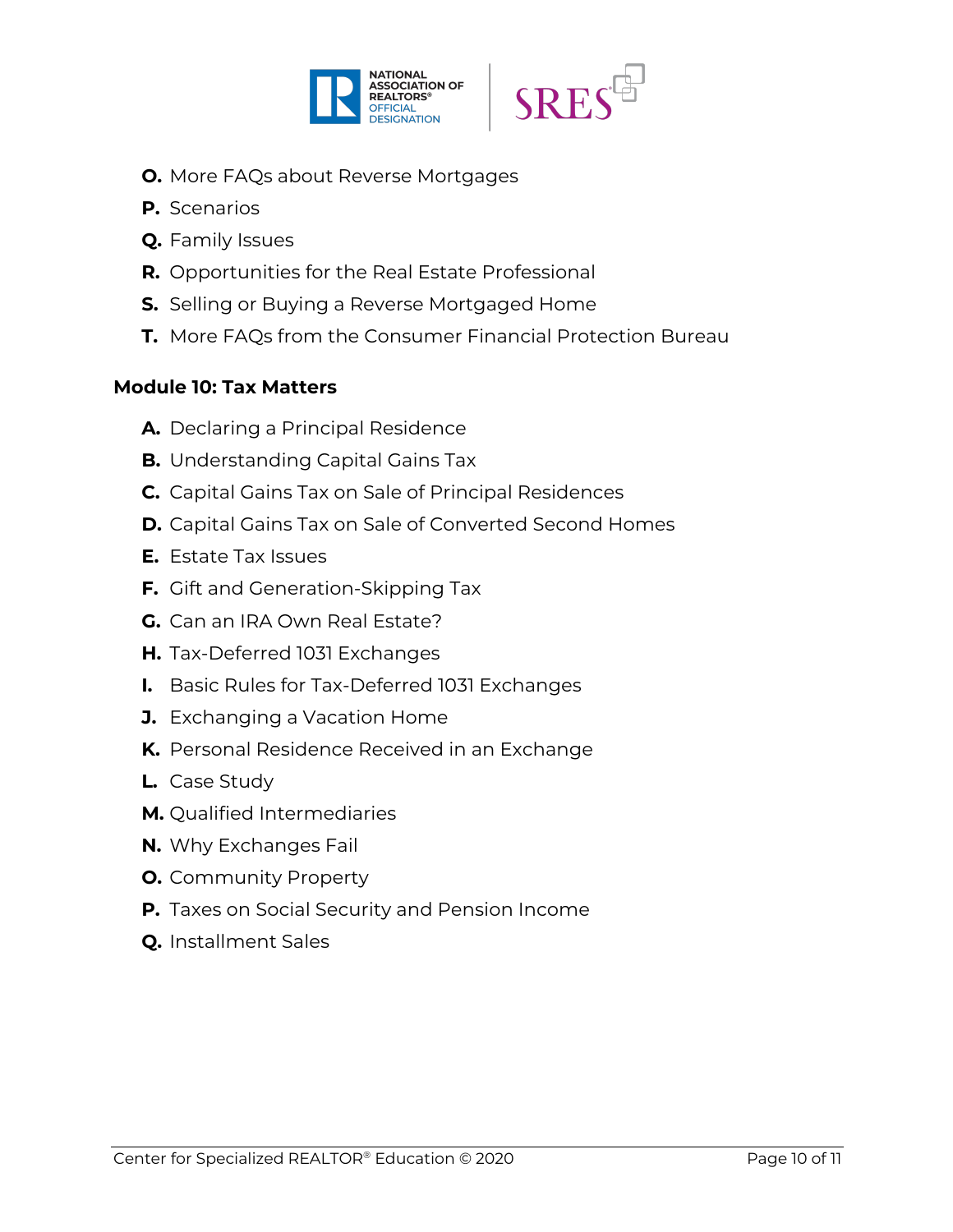



- **O.** More FAQs about Reverse Mortgages
- **P.** Scenarios
- **Q.** Family Issues
- **R.** Opportunities for the Real Estate Professional
- **S.** Selling or Buying a Reverse Mortgaged Home
- **T.** More FAQs from the Consumer Financial Protection Bureau

#### **Module 10: Tax Matters**

- **A.** Declaring a Principal Residence
- **B.** Understanding Capital Gains Tax
- **C.** Capital Gains Tax on Sale of Principal Residences
- **D.** Capital Gains Tax on Sale of Converted Second Homes
- **E.** Estate Tax Issues
- **F.** Gift and Generation-Skipping Tax
- **G.** Can an IRA Own Real Estate?
- **H.** Tax-Deferred 1031 Exchanges
- **I.** Basic Rules for Tax-Deferred 1031 Exchanges
- **J.** Exchanging a Vacation Home
- **K.** Personal Residence Received in an Exchange
- **L.** Case Study
- **M.** Qualified Intermediaries
- **N.** Why Exchanges Fail
- **O.** Community Property
- **P.** Taxes on Social Security and Pension Income
- **Q.** Installment Sales